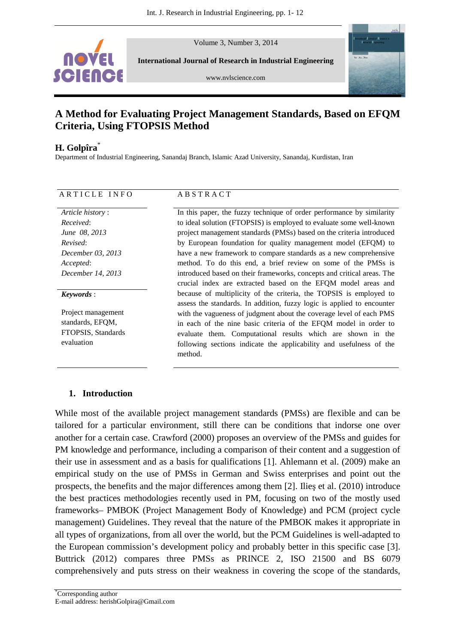Volume 3, Number 3, 2014



**International Journal of Research in Industrial Engineering** 

www.nvlscience.com



# **A Method for Evaluating Project Management Standards, Based on EFQM Criteria, Using FTOPSIS Method**

## **H. Golpîra**\*

Department of Industrial Engineering, Sanandaj Branch, Islamic Azad University, Sanandaj, Kurdistan, Iran

## ARTICLE INFO ABSTRACT

*Article history* : *Received*: *June 08, 2013 Revised*: *December 03, 2013 Accepted*: *December 14, 2013*

### *Keywords* :

Project management standards, EFOM. FTOPSIS, Standards evaluation

In this paper, the fuzzy technique of order performance by similarity to ideal solution (FTOPSIS) is employed to evaluate some well-known project management standards (PMSs) based on the criteria introduced by European foundation for quality management model (EFQM) to have a new framework to compare standards as a new comprehensive method. To do this end, a brief review on some of the PMSs is introduced based on their frameworks, concepts and critical areas. The crucial index are extracted based on the EFQM model areas and because of multiplicity of the criteria, the TOPSIS is employed to assess the standards. In addition, fuzzy logic is applied to encounter with the vagueness of judgment about the coverage level of each PMS in each of the nine basic criteria of the EFQM model in order to evaluate them. Computational results which are shown in the following sections indicate the applicability and usefulness of the method.

## **1. Introduction**

While most of the available project management standards (PMSs) are flexible and can be tailored for a particular environment, still there can be conditions that indorse one over another for a certain case. Crawford (2000) proposes an overview of the PMSs and guides for PM knowledge and performance, including a comparison of their content and a suggestion of their use in assessment and as a basis for qualifications [1]. Ahlemann et al. (2009) make an empirical study on the use of PMSs in German and Swiss enterprises and point out the prospects, the benefits and the major differences among them [2]. Ilieş et al. (2010) introduce the best practices methodologies recently used in PM, focusing on two of the mostly used frameworks– PMBOK (Project Management Body of Knowledge) and PCM (project cycle management) Guidelines. They reveal that the nature of the PMBOK makes it appropriate in all types of organizations, from all over the world, but the PCM Guidelines is well-adapted to the European commission's development policy and probably better in this specific case [3]. Buttrick (2012) compares three PMSs as PRINCE 2, ISO 21500 and BS 6079 comprehensively and puts stress on their weakness in covering the scope of the standards,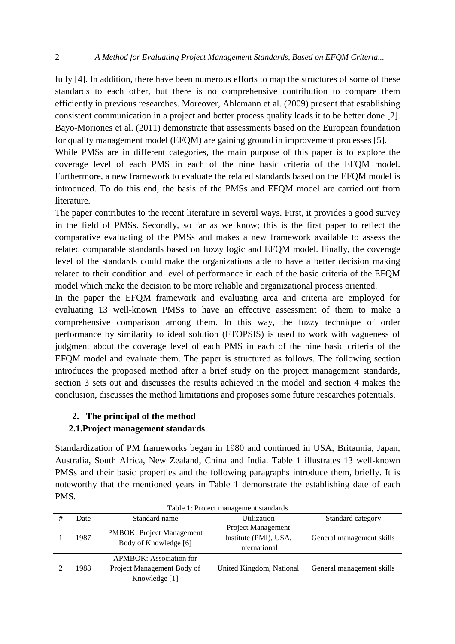fully [4]. In addition, there have been numerous efforts to map the structures of some of these standards to each other, but there is no comprehensive contribution to compare them efficiently in previous researches. Moreover, Ahlemann et al. (2009) present that establishing consistent communication in a project and better process quality leads it to be better done [2]. Bayo-Moriones et al. (2011) demonstrate that assessments based on the European foundation for quality management model (EFQM) are gaining ground in improvement processes [5].

While PMSs are in different categories, the main purpose of this paper is to explore the coverage level of each PMS in each of the nine basic criteria of the EFQM model. Furthermore, a new framework to evaluate the related standards based on the EFQM model is introduced. To do this end, the basis of the PMSs and EFQM model are carried out from literature.

The paper contributes to the recent literature in several ways. First, it provides a good survey in the field of PMSs. Secondly, so far as we know; this is the first paper to reflect the comparative evaluating of the PMSs and makes a new framework available to assess the related comparable standards based on fuzzy logic and EFQM model. Finally, the coverage level of the standards could make the organizations able to have a better decision making related to their condition and level of performance in each of the basic criteria of the EFQM model which make the decision to be more reliable and organizational process oriented.

In the paper the EFQM framework and evaluating area and criteria are employed for evaluating 13 well-known PMSs to have an effective assessment of them to make a comprehensive comparison among them. In this way, the fuzzy technique of order performance by similarity to ideal solution (FTOPSIS) is used to work with vagueness of judgment about the coverage level of each PMS in each of the nine basic criteria of the EFQM model and evaluate them. The paper is structured as follows. The following section introduces the proposed method after a brief study on the project management standards, section 3 sets out and discusses the results achieved in the model and section 4 makes the conclusion, discusses the method limitations and proposes some future researches potentials.

## **2. The principal of the method**

## **2.1.Project management standards**

Standardization of PM frameworks began in 1980 and continued in USA, Britannia, Japan, Australia, South Africa, New Zealand, China and India. Table 1 illustrates 13 well-known PMSs and their basic properties and the following paragraphs introduce them, briefly. It is noteworthy that the mentioned years in Table 1 demonstrate the establishing date of each PMS.

| Table 1. Project management standards |      |                                                                               |                                                                     |                           |  |  |  |  |
|---------------------------------------|------|-------------------------------------------------------------------------------|---------------------------------------------------------------------|---------------------------|--|--|--|--|
|                                       | Date | Standard name                                                                 | Utilization                                                         | Standard category         |  |  |  |  |
|                                       | 1987 | <b>PMBOK: Project Management</b><br>Body of Knowledge [6]                     | <b>Project Management</b><br>Institute (PMI), USA,<br>International | General management skills |  |  |  |  |
|                                       | 1988 | <b>APMBOK:</b> Association for<br>Project Management Body of<br>Knowledge [1] | United Kingdom, National                                            | General management skills |  |  |  |  |

Table 1: Project management standards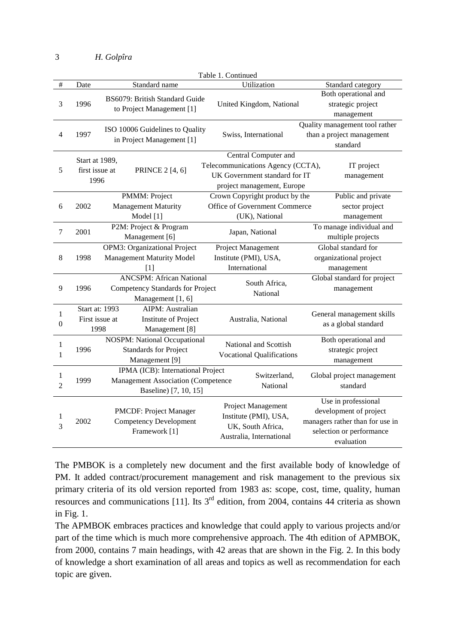|                       | Table 1. Continued                       |                                                                                                         |                                                                                                                          |                                                                                                                            |  |  |  |  |  |  |
|-----------------------|------------------------------------------|---------------------------------------------------------------------------------------------------------|--------------------------------------------------------------------------------------------------------------------------|----------------------------------------------------------------------------------------------------------------------------|--|--|--|--|--|--|
| $\#$                  | Date                                     | Standard name                                                                                           | Utilization                                                                                                              | Standard category                                                                                                          |  |  |  |  |  |  |
| 3                     | 1996                                     | BS6079: British Standard Guide<br>to Project Management [1]                                             | United Kingdom, National                                                                                                 | Both operational and<br>strategic project<br>management                                                                    |  |  |  |  |  |  |
| $\overline{4}$        | 1997                                     | ISO 10006 Guidelines to Quality<br>in Project Management [1]                                            | Swiss, International                                                                                                     | Quality management tool rather<br>than a project management<br>standard                                                    |  |  |  |  |  |  |
| 5                     | Start at 1989,<br>first issue at<br>1996 | <b>PRINCE 2 [4, 6]</b>                                                                                  | Central Computer and<br>Telecommunications Agency (CCTA),<br>UK Government standard for IT<br>project management, Europe | IT project<br>management                                                                                                   |  |  |  |  |  |  |
| 6                     | 2002                                     | PMMM: Project<br><b>Management Maturity</b><br>Model [1]                                                | Crown Copyright product by the<br>Office of Government Commerce<br>(UK), National                                        | Public and private<br>sector project<br>management                                                                         |  |  |  |  |  |  |
| 7                     | 2001                                     | P2M: Project & Program<br>Management [6]                                                                | Japan, National                                                                                                          | To manage individual and<br>multiple projects                                                                              |  |  |  |  |  |  |
| 8                     | 1998                                     | <b>OPM3: Organizational Project</b><br><b>Management Maturity Model</b><br>[1]                          | Project Management<br>Institute (PMI), USA,<br>International                                                             | Global standard for<br>organizational project<br>management                                                                |  |  |  |  |  |  |
| 9                     | 1996                                     | <b>ANCSPM: African National</b><br>Competency Standards for Project<br>Management [1, 6]                | South Africa,<br>National                                                                                                | Global standard for project<br>management                                                                                  |  |  |  |  |  |  |
| 1<br>$\boldsymbol{0}$ | First issue at<br>1998                   | <b>AIPM</b> : Australian<br>Start at: 1993<br>Institute of Project<br>Management [8]                    | Australia, National                                                                                                      | General management skills<br>as a global standard                                                                          |  |  |  |  |  |  |
| $\mathbf{1}$<br>1     | 1996                                     | <b>NOSPM:</b> National Occupational<br><b>Standards for Project</b><br>Management [9]                   | National and Scottish<br><b>Vocational Qualifications</b>                                                                | Both operational and<br>strategic project<br>management                                                                    |  |  |  |  |  |  |
| 1<br>$\overline{c}$   | 1999                                     | IPMA (ICB): International Project<br><b>Management Association (Competence</b><br>Baseline) [7, 10, 15] | Switzerland,<br>National                                                                                                 | Global project management<br>standard                                                                                      |  |  |  |  |  |  |
| $\mathbf{1}$<br>3     | 2002                                     | PMCDF: Project Manager<br><b>Competency Development</b><br>Framework [1]                                | Project Management<br>Institute (PMI), USA,<br>UK, South Africa,<br>Australia, International                             | Use in professional<br>development of project<br>managers rather than for use in<br>selection or performance<br>evaluation |  |  |  |  |  |  |

The PMBOK is a completely new document and the first available body of knowledge of PM. It added contract/procurement management and risk management to the previous six primary criteria of its old version reported from 1983 as: scope, cost, time, quality, human resources and communications [11]. Its  $3<sup>rd</sup>$  edition, from 2004, contains 44 criteria as shown in Fig. 1.

The APMBOK embraces practices and knowledge that could apply to various projects and/or part of the time which is much more comprehensive approach. The 4th edition of APMBOK, from 2000, contains 7 main headings, with 42 areas that are shown in the Fig. 2. In this body of knowledge a short examination of all areas and topics as well as recommendation for each topic are given.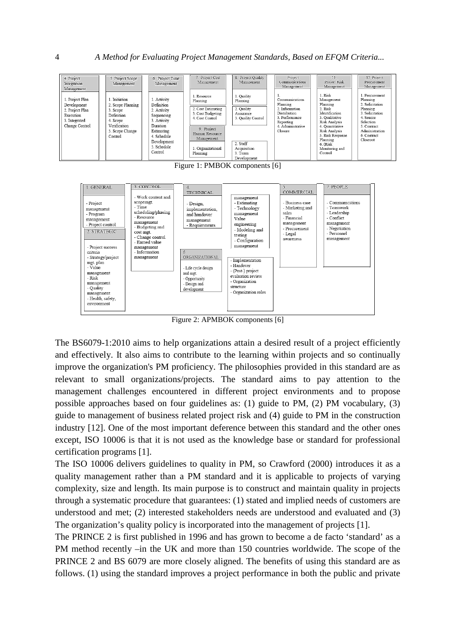

Figure 2: APMBOK components [6]

The BS6079-1:2010 aims to help organizations attain a desired result of a project efficiently and effectively. It also aims to contribute to the learning within projects and so continually improve the organization's PM proficiency. The philosophies provided in this standard are as relevant to small organizations/projects. The standard aims to pay attention to the management challenges encountered in different project environments and to propose possible approaches based on four guidelines as: (1) guide to PM, (2) PM vocabulary, (3) guide to management of business related project risk and (4) guide to PM in the construction industry [12]. One of the most important deference between this standard and the other ones except, ISO 10006 is that it is not used as the knowledge base or standard for professional certification programs [1].

The ISO 10006 delivers guidelines to quality in PM, so Crawford (2000) introduces it as a quality management rather than a PM standard and it is applicable to projects of varying complexity, size and length. Its main purpose is to construct and maintain quality in projects through a systematic procedure that guarantees: (1) stated and implied needs of customers are understood and met; (2) interested stakeholders needs are understood and evaluated and (3) The organization's quality policy is incorporated into the management of projects [1].

The PRINCE 2 is first published in 1996 and has grown to become a de facto 'standard' as a PM method recently –in the UK and more than 150 countries worldwide. The scope of the PRINCE 2 and BS 6079 are more closely aligned. The benefits of using this standard are as follows. (1) using the standard improves a project performance in both the public and private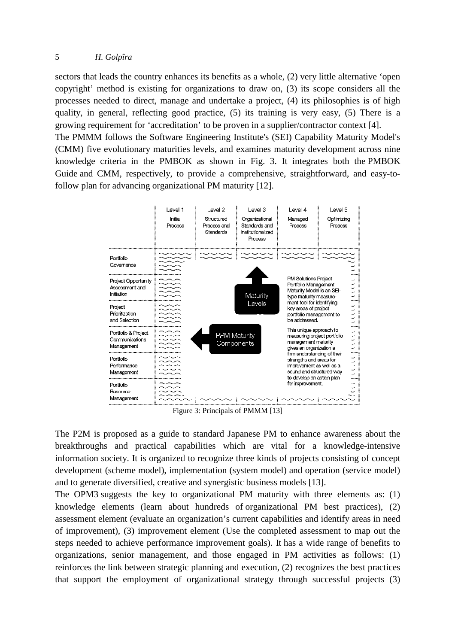## 5 *H. Golpîra*

sectors that leads the country enhances its benefits as a whole, (2) very little alternative 'open copyright' method is existing for organizations to draw on, (3) its scope considers all the processes needed to direct, manage and undertake a project, (4) its philosophies is of high quality, in general, reflecting good practice, (5) its training is very easy, (5) There is a growing requirement for 'accreditation' to be proven in a supplier/contractor context [4]. The PMMM follows the Software Engineering Institute's (SEI) Capability Maturity Model's (CMM) five evolutionary maturities levels, and examines maturity development across nine knowledge criteria in the PMBOK as shown in Fig. 3. It integrates both the PMBOK Guide and CMM, respectively, to provide a comprehensive, straightforward, and easy-to-Guide and CMM, respectively, to provide a comprehensi-<br>follow plan for advancing organizational PM maturity [12].



Figure 3: Principals of PMMM [13]

The P2M is proposed as a guide to standard Japanese PM to enhance awareness about the breakthroughs and practical capabilities which are vital for a knowledge-intensive information society. It is organized to recognize three kinds of projects consisting of concept development (scheme model), implementation (system model) and operation (service model) and to generate diversified, creative and synergistic business models [13]. development (scheme model), implementation (system model) and operation (service model) and to generate diversified, creative and synergistic business models [13].<br>The OPM3 suggests the key to organizational PM maturity wi

knowledge elements (learn about hundreds of organizational PM best practices), (2) assessment element (evaluate an organization's current capabilities and identify areas in need of improvement), (3) improvement element (Use the completed assessment to map out the steps needed to achieve performance improvement goals). It has a wide range of benefits to steps needed to achieve performance improvement goals). It has a wide range of benefits to organizations, senior management, and those engaged in PM activities as follows: (1) reinforces the link between strategic planning and execution, (2) recognizes the best practices reinforces the link between strategic planning and execution, (2) recognizes the best practices<br>that support the employment of organizational strategy through successful projects (3)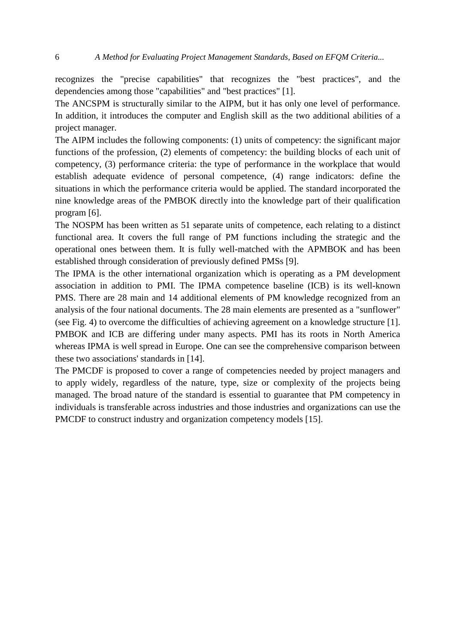recognizes the "precise capabilities" that recognizes the "best practices", and the dependencies among those "capabilities" and "best practices" [1].

The ANCSPM is structurally similar to the AIPM, but it has only one level of performance. In addition, it introduces the computer and English skill as the two additional abilities of a project manager.

The AIPM includes the following components: (1) units of competency: the significant major functions of the profession, (2) elements of competency: the building blocks of each unit of competency, (3) performance criteria: the type of performance in the workplace that would establish adequate evidence of personal competence, (4) range indicators: define the situations in which the performance criteria would be applied. The standard incorporated the nine knowledge areas of the PMBOK directly into the knowledge part of their qualification program [6].

The NOSPM has been written as 51 separate units of competence, each relating to a distinct functional area. It covers the full range of PM functions including the strategic and the operational ones between them. It is fully well-matched with the APMBOK and has been established through consideration of previously defined PMSs [9].

The IPMA is the other international organization which is operating as a PM development association in addition to PMI. The IPMA competence baseline (ICB) is its well-known PMS. There are 28 main and 14 additional elements of PM knowledge recognized from an analysis of the four national documents. The 28 main elements are presented as a "sunflower" (see Fig. 4) to overcome the difficulties of achieving agreement on a knowledge structure [1]. PMBOK and ICB are differing under many aspects. PMI has its roots in North America whereas IPMA is well spread in Europe. One can see the comprehensive comparison between these two associations' standards in [14].

The PMCDF is proposed to cover a range of competencies needed by project managers and to apply widely, regardless of the nature, type, size or complexity of the projects being managed. The broad nature of the standard is essential to guarantee that PM competency in individuals is transferable across industries and those industries and organizations can use the PMCDF to construct industry and organization competency models [15].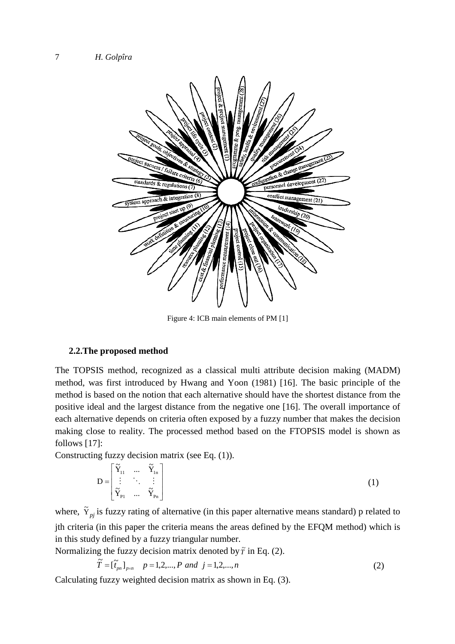

Figure 4: ICB main elements of PM [1]

#### **2.2.The proposed method**

The TOPSIS method, recognized as a classical multi attribute decision making (MADM) method, was first introduced by Hwang and Yoon (1981) [16]. The basic principle of the method is based on the notion that each alternative should have the shortest distance from the positive ideal and the largest distance from the negative one [16]. The overall importance of each alternative depends on criteria often exposed by a fuzzy number that makes the decision making close to reality. The processed method based on the FTOPSIS model is shown as follows [17]:

Constructing fuzzy decision matrix (see Eq. (1)).

$$
D = \begin{bmatrix} \widetilde{Y}_{11} & \dots & \widetilde{Y}_{1n} \\ \vdots & \ddots & \vdots \\ \widetilde{Y}_{p1} & \dots & \widetilde{Y}_{p_n} \end{bmatrix}
$$
 (1)

where,  $\tilde{Y}_{pi}$  is fuzzy rating of alternative (in this paper alternative means standard) p related to jth criteria (in this paper the criteria means the areas defined by the EFQM method) which is in this study defined by a fuzzy triangular number.

Normalizing the fuzzy decision matrix denoted by  $\tilde{r}$  in Eq. (2).

$$
\widetilde{T} = [\widetilde{t}_{pn}]_{p \times n} \quad p = 1, 2, ..., P \text{ and } j = 1, 2, ..., n \tag{2}
$$

Calculating fuzzy weighted decision matrix as shown in Eq. (3).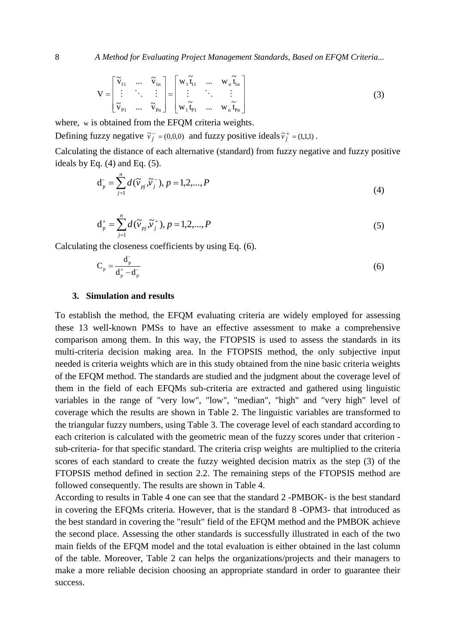$$
\mathbf{V} = \begin{bmatrix} \tilde{\mathbf{v}}_{11} & \dots & \tilde{\mathbf{v}}_{1n} \\ \vdots & \ddots & \vdots \\ \tilde{\mathbf{v}}_{p1} & \dots & \tilde{\mathbf{v}}_{pn} \end{bmatrix} = \begin{bmatrix} \mathbf{w}_1 \tilde{\mathbf{t}}_{11} & \dots & \mathbf{w}_n \tilde{\mathbf{t}}_{1n} \\ \vdots & \ddots & \vdots \\ \mathbf{w}_1 \tilde{\mathbf{t}}_{p1} & \dots & \mathbf{w}_n \tilde{\mathbf{t}}_{pn} \end{bmatrix}
$$
(3)

where, w is obtained from the EFQM criteria weights.

Defining fuzzy negative  $\tilde{v}_i^-(0,0,0)$  $\tilde{v}_j^-$  = (0,0,0) and fuzzy positive ideals  $\tilde{v}_j^+$  = (1,1,1)  $\tilde{v}_j^+$  = (1,1,1).

Calculating the distance of each alternative (standard) from fuzzy negative and fuzzy positive ideals by Eq.  $(4)$  and Eq.  $(5)$ .

$$
d_{p}^{-} = \sum_{j=1}^{n} d(\widetilde{v}_{pj}, \widetilde{v}_{j}^{-}), p = 1, 2, ..., P
$$
\n(4)

$$
d_p^+ = \sum_{j=1}^n d(\widetilde{v}_{pj}, \widetilde{v}_j^+), p = 1, 2, ..., P
$$
 (5)

Calculating the closeness coefficients by using Eq. (6).

$$
C_p = \frac{d_p}{d_p^+ - d_p^-}
$$
 (6)

### **3. Simulation and results**

To establish the method, the EFQM evaluating criteria are widely employed for assessing these 13 well-known PMSs to have an effective assessment to make a comprehensive comparison among them. In this way, the FTOPSIS is used to assess the standards in its multi-criteria decision making area. In the FTOPSIS method, the only subjective input needed is criteria weights which are in this study obtained from the nine basic criteria weights of the EFQM method. The standards are studied and the judgment about the coverage level of them in the field of each EFQMs sub-criteria are extracted and gathered using linguistic variables in the range of "very low", "low", "median", "high" and "very high" level of coverage which the results are shown in Table 2. The linguistic variables are transformed to the triangular fuzzy numbers, using Table 3. The coverage level of each standard according to each criterion is calculated with the geometric mean of the fuzzy scores under that criterion sub-criteria- for that specific standard. The criteria crisp weights are multiplied to the criteria scores of each standard to create the fuzzy weighted decision matrix as the step (3) of the FTOPSIS method defined in section 2.2. The remaining steps of the FTOPSIS method are followed consequently. The results are shown in Table 4.

According to results in Table 4 one can see that the standard 2 -PMBOK- is the best standard in covering the EFQMs criteria. However, that is the standard 8 -OPM3- that introduced as the best standard in covering the "result" field of the EFQM method and the PMBOK achieve the second place. Assessing the other standards is successfully illustrated in each of the two main fields of the EFQM model and the total evaluation is either obtained in the last column of the table. Moreover, Table 2 can helps the organizations/projects and their managers to make a more reliable decision choosing an appropriate standard in order to guarantee their success.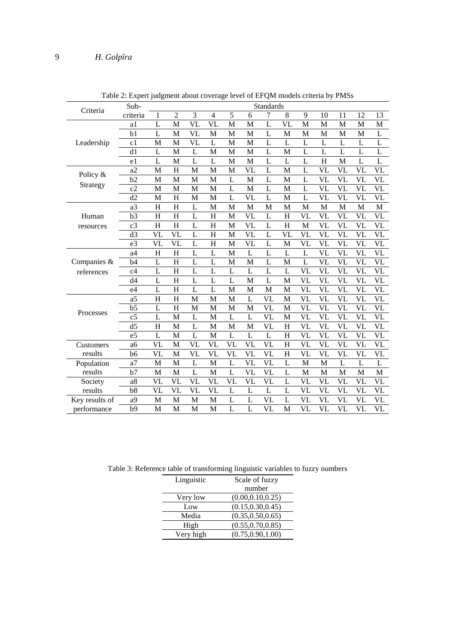|                | Sub-<br><b>Standards</b> |                        |                        |                        |                          |                |                |                |                |                        |                        |                        |                        |                        |
|----------------|--------------------------|------------------------|------------------------|------------------------|--------------------------|----------------|----------------|----------------|----------------|------------------------|------------------------|------------------------|------------------------|------------------------|
| Criteria       | criteria                 | 1                      | $\overline{2}$         | 3                      | $\overline{\mathcal{L}}$ | 5              | 6              | 7              | 8              | 9                      | 10                     | 11                     | 12                     | 13                     |
|                | a1                       | L                      | M                      | VL                     | $\overline{\text{VL}}$   | M              | M              | L              | VL             | M                      | M                      | M                      | M                      | M                      |
|                | b <sub>1</sub>           | L                      | M                      | VL                     | M                        | M              | M              | L              | M              | M                      | M                      | M                      | M                      | L                      |
| Leadership     | c1                       | M                      | M                      | VL                     | L                        | M              | M              | L              | L              | L                      | L                      | L                      | L                      | L                      |
|                | d1                       | L                      | M                      | L                      | M                        | M              | M              | L              | M              | L                      | L                      | L                      | L                      | L                      |
|                | e <sub>1</sub>           | L                      | M                      | $\overline{L}$         | L                        | M              | M              | $\overline{L}$ | L              | $\overline{L}$         | $\overline{H}$         | M                      | $\overline{L}$         | L                      |
| Policy &       | a2                       | M                      | H                      | M                      | M                        | M              | VL             | L              | M              | L                      | VL                     | VL                     | VL                     | VL                     |
|                | b2                       | M                      | M                      | M                      | M                        | L              | M              | L              | M              | L                      | VL                     | VL                     | VL                     | VL                     |
| Strategy       | c2                       | M                      | M                      | M                      | M                        | L              | M              | $\overline{L}$ | M              | L                      | VL                     | VL                     | VL                     | VL                     |
|                | d2                       | M                      | H                      | M                      | M                        | L              | VL             | L              | M              | L                      | VL                     | VL                     | VL                     | VL                     |
|                | a3                       | H                      | H                      | L                      | M                        | M              | M              | M              | M              | M                      | M                      | M                      | M                      | M                      |
| Human          | b3                       | H                      | H                      | $\overline{L}$         | $\overline{H}$           | M              | VL             | $\overline{L}$ | H              | VL                     | VL                     | VL                     | VL                     | VL                     |
| resources      | c <sub>3</sub>           | H                      | H                      | L                      | H                        | M              | VL             | L              | H              | M                      | VL                     | VL                     | VL                     | VL                     |
|                | d3                       | VL                     | VL                     | L                      | $\overline{\mathrm{H}}$  | M              | VL             | L              | VL             | VL                     | VL                     | VL                     | VL                     | VL                     |
|                | e <sub>3</sub>           | VL                     | VL                     | L                      | $\overline{H}$           | M              | VL             | $\overline{L}$ | M              | VL                     | VL                     | VL                     | VL                     | VL                     |
|                | a4                       | H                      | H                      | L                      | L                        | M              | L              | L              | L              | L                      | <b>VL</b>              | <b>VL</b>              | VL                     | VL                     |
| Companies &    | b4                       | L                      | H                      | $\overline{L}$         | $\overline{L}$           | M              | M              | $\overline{L}$ | M              | L                      | <b>VL</b>              | VL                     | VL                     | VL                     |
| references     | c4                       | L                      | H                      | L                      | L                        | L              | L              | L              | L              | VL                     | VL                     | VL                     | VL                     | VL                     |
|                | d4                       | L                      | H                      | L                      | L                        | L              | M              | L              | M              | VL                     | VL                     | VL                     | VL                     | VL                     |
|                | e <sub>4</sub>           | L                      | H                      | $\overline{L}$         | $\overline{L}$           | M              | M              | M              | M              | VL                     | VL                     | <b>VL</b>              | VL                     | VL                     |
|                | a <sub>5</sub>           | H                      | H                      | M                      | M                        | M              | $\overline{L}$ | VL             | M              | $\overline{\text{VL}}$ | $\overline{\text{VL}}$ | <b>VL</b>              | VL                     | VL                     |
|                | b <sub>5</sub>           | L                      | H                      | M                      | M                        | M              | M              | VL             | M              | <b>VL</b>              | <b>VL</b>              | VL                     | VL                     | VL                     |
| Processes      | c <sub>5</sub>           | L                      | M                      | L                      | M                        | L              | L              | VL             | M              | VL                     | VL                     | VL                     | VL                     | VL                     |
|                | d5                       | $\overline{H}$         | M                      | $\overline{L}$         | M                        | M              | M              | VL             | $\overline{H}$ | $\overline{\text{VL}}$ | $\overline{\text{VL}}$ | $\overline{\text{VL}}$ | $\overline{\text{VL}}$ | $\overline{\text{VL}}$ |
|                | e <sub>5</sub>           | L                      | M                      | $\overline{L}$         | M                        | $\overline{L}$ | $\overline{L}$ | $\overline{L}$ | $\overline{H}$ | <b>VL</b>              | VL                     | <b>VL</b>              | VL                     | VL                     |
| Customers      | a <sub>6</sub>           | VL                     | M                      | VL                     | VL                       | VL             | VL             | VL             | H              | VL                     | VL                     | VL                     | VL                     | VL                     |
| results        | b <sub>6</sub>           | VL                     | M                      | VL                     | $\overline{\text{VL}}$   | VL             | VL             | VL             | H              | VL                     | VL                     | VL                     | VL                     | VL                     |
| Population     | a <sub>7</sub>           | M                      | M                      | L                      | M                        | L              | VL             | VL             | L              | M                      | M                      | L                      | L                      | L                      |
| results        | b7                       | M                      | M                      | L                      | M                        | $\overline{L}$ | VL             | VL             | L              | M                      | M                      | M                      | M                      | M                      |
| Society        | a8                       | VL                     | VL                     | VL                     | VL                       | <b>VL</b>      | VL             | VL             | L              | VL                     | VL                     | VL                     | VL                     | VL                     |
| results        | b8                       | $\overline{\text{VL}}$ | $\overline{\text{VL}}$ | $\overline{\text{VL}}$ | $\overline{\text{VL}}$   | $\overline{L}$ | $\overline{L}$ | $\overline{L}$ | $\overline{L}$ | $\overline{\text{VL}}$ | $\overline{\text{VL}}$ | $\overline{\text{VL}}$ | $\overline{\text{VL}}$ | $\overline{\text{VL}}$ |
| Key results of | a9                       | M                      | M                      | M                      | M                        | L              | L              | VL             | L              | VL                     | VL                     | VL                     | VL                     | VL                     |
| performance    | b9                       | M                      | M                      | M                      | M                        | L              | L              | VL             | M              | VL                     | VL                     | VL                     | VL                     | VL                     |

Table 2: Expert judgment about coverage level of EFQM models criteria by PMSs

Table 3: Reference table of transforming linguistic variables to fuzzy numbers

| Linguistic | Scale of fuzzy     |  |  |  |
|------------|--------------------|--|--|--|
|            | number             |  |  |  |
| Very low   | (0.00, 0.10, 0.25) |  |  |  |
| Low        | (0.15, 0.30, 0.45) |  |  |  |
| Media      | (0.35, 0.50, 0.65) |  |  |  |
| High       | (0.55, 0.70, 0.85) |  |  |  |
| Very high  | (0.75, 0.90, 1.00) |  |  |  |
|            |                    |  |  |  |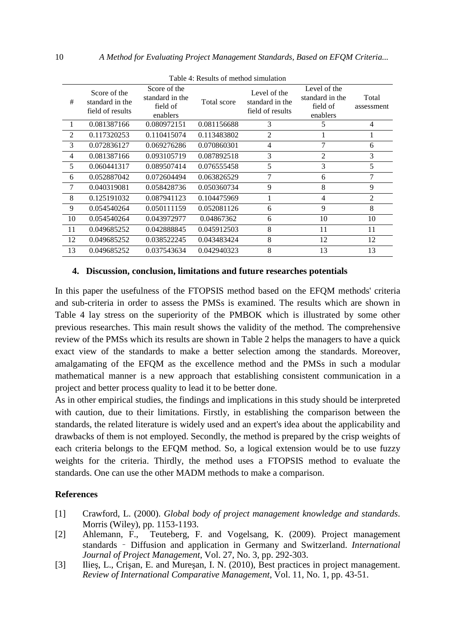| Table 4. Results of Hielhod shinulation |                                                     |                                                         |             |                                                     |                                                         |                     |  |  |  |
|-----------------------------------------|-----------------------------------------------------|---------------------------------------------------------|-------------|-----------------------------------------------------|---------------------------------------------------------|---------------------|--|--|--|
| #                                       | Score of the<br>standard in the<br>field of results | Score of the<br>standard in the<br>field of<br>enablers | Total score | Level of the<br>standard in the<br>field of results | Level of the<br>standard in the<br>field of<br>enablers | Total<br>assessment |  |  |  |
|                                         | 0.081387166                                         | 0.080972151                                             | 0.081156688 | 3                                                   | 5                                                       | $\overline{4}$      |  |  |  |
| 2                                       | 0.117320253                                         | 0.110415074                                             | 0.113483802 | 2                                                   |                                                         |                     |  |  |  |
| 3                                       | 0.072836127                                         | 0.069276286                                             | 0.070860301 | 4                                                   | 7                                                       | 6                   |  |  |  |
| 4                                       | 0.081387166                                         | 0.093105719                                             | 0.087892518 | 3                                                   | $\overline{2}$                                          | 3                   |  |  |  |
| 5                                       | 0.060441317                                         | 0.089507414                                             | 0.076555458 | 5                                                   | 3                                                       | 5                   |  |  |  |
| 6                                       | 0.052887042                                         | 0.072604494                                             | 0.063826529 | 7                                                   | 6                                                       | 7                   |  |  |  |
| 7                                       | 0.040319081                                         | 0.058428736                                             | 0.050360734 | 9                                                   | 8                                                       | 9                   |  |  |  |
| 8                                       | 0.125191032                                         | 0.087941123                                             | 0.104475969 | 1                                                   | 4                                                       | 2                   |  |  |  |
| 9                                       | 0.054540264                                         | 0.050111159                                             | 0.052081126 | 6                                                   | 9                                                       | 8                   |  |  |  |
| 10                                      | 0.054540264                                         | 0.043972977                                             | 0.04867362  | 6                                                   | 10                                                      | 10                  |  |  |  |
| 11                                      | 0.049685252                                         | 0.042888845                                             | 0.045912503 | 8                                                   | 11                                                      | 11                  |  |  |  |
| 12                                      | 0.049685252                                         | 0.038522245                                             | 0.043483424 | 8                                                   | 12                                                      | 12                  |  |  |  |
| 13                                      | 0.049685252                                         | 0.037543634                                             | 0.042940323 | 8                                                   | 13                                                      | 13                  |  |  |  |

Table 4: Results of method simulation

### **4. Discussion, conclusion, limitations and future researches potentials**

In this paper the usefulness of the FTOPSIS method based on the EFQM methods' criteria and sub-criteria in order to assess the PMSs is examined. The results which are shown in Table 4 lay stress on the superiority of the PMBOK which is illustrated by some other previous researches. This main result shows the validity of the method. The comprehensive review of the PMSs which its results are shown in Table 2 helps the managers to have a quick exact view of the standards to make a better selection among the standards. Moreover, amalgamating of the EFQM as the excellence method and the PMSs in such a modular mathematical manner is a new approach that establishing consistent communication in a project and better process quality to lead it to be better done.

As in other empirical studies, the findings and implications in this study should be interpreted with caution, due to their limitations. Firstly, in establishing the comparison between the standards, the related literature is widely used and an expert's idea about the applicability and drawbacks of them is not employed. Secondly, the method is prepared by the crisp weights of each criteria belongs to the EFQM method. So, a logical extension would be to use fuzzy weights for the criteria. Thirdly, the method uses a FTOPSIS method to evaluate the standards. One can use the other MADM methods to make a comparison.

## **References**

- [1] Crawford, L. (2000). *Global body of project management knowledge and standards*. Morris (Wiley), pp. 1153-1193.
- [2] Ahlemann, F., Teuteberg, F. and Vogelsang, K. (2009). Project management standards – Diffusion and application in Germany and Switzerland. *International Journal of Project Management,* Vol. 27, No. 3, pp. 292-303.
- [3] Ilies, L., Crisan, E. and Muresan, I. N. (2010), Best practices in project management. *Review of International Comparative Management*, Vol. 11, No. 1, pp. 43-51.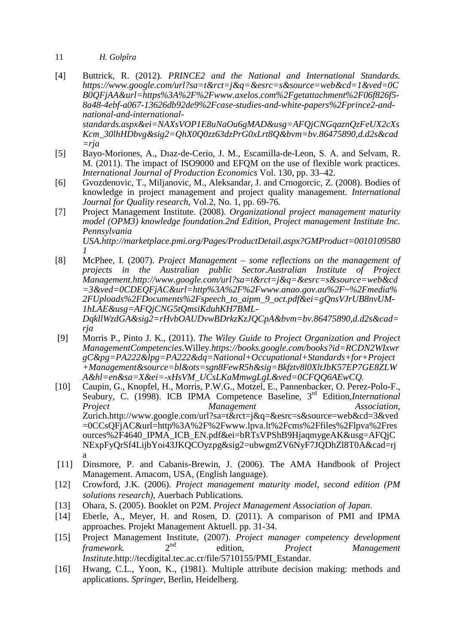- 11 *H. Golpîra*
- [4] Buttrick, R. (2012). *PRINCE2 and the National and International Standards. https://www.google.com/url?sa=t&rct=j&q=&esrc=s&source=web&cd=1&ved=0C B0QFjAA&url=https%3A%2F%2Fwww.axelos.com%2Fgetattachment%2F06f826f5- 8a48-4ebf-a067-13626db92de9%2Fcase-studies-and-white-papers%2Fprince2-andnational-and-internationalstandards.aspx&ei=NAXsVOP1E8uNaOu6gMAD&usg=AFQjCNGqaznQzFeUX2cXs Kcm\_30lhHDbvg&sig2=QhX0Q0zz63dzPrG0xLrt8Q&bvm=bv.86475890,d.d2s&cad =rja*
- [5] Bayo-Moriones, A., Dıaz-de-Cerio, J. M., Escamilla-de-Leon, S. A. and Selvam, R. M. (2011). The impact of ISO9000 and EFQM on the use of flexible work practices. *International Journal of Production Economics* Vol. 130, pp. 33–42.
- [6] Gvozdenovic, T., Miljanovic, M., Aleksandar, J. and Crnogorcic, Z. (2008). Bodies of knowledge in project management and project quality management. *International Journal for Quality research*, Vol.2, No. 1, pp. 69-76*.*
- [7] Project Management Institute. (2008). *Organizational project management maturity model (OPM3) knowledge foundation.2nd Edition, Project management Institute Inc. Pennsylvania USA.http://marketplace.pmi.org/Pages/ProductDetail.aspx?GMProduct=0010109580 1*
- [8] McPhee, I. (2007). *Project Management some reflections on the management of*  projects in the Australian public Sector.Australian Institute of Project *Management.http://www.google.com/url?sa=t&rct=j&q=&esrc=s&source=web&cd =3&ved=0CDEQFjAC&url=http%3A%2F%2Fwww.anao.gov.au%2F~%2Fmedia% 2FUploads%2FDocuments%2Fspeech\_to\_aipm\_9\_oct.pdf&ei=gQnsVJrUB8nvUM-1hLAE&usg=AFQjCNG5tQmsiKduhKH7BML-DqkllWzdGA&sig2=rHvbOAUDvwBDrkzKzJQCpA&bvm=bv.86475890,d.d2s&cad= rja*
- [9] Morris P., Pinto J. K., (2011). *The Wiley Guide to Project Organization and Project ManagementCompetencies.*Willey.*https://books.google.com/books?id=RCDN2WIxwr gC&pg=PA222&lpg=PA222&dq=National+Occupational+Standards+for+Project +Management&source=bl&ots=sgn8FewR5h&sig=Bkfztv8l0XltJbK57EP7GE8ZLW A&hl=en&sa=X&ei=-xHsVM\_UCsLKaMmwgLgL&ved=0CFQQ6AEwCQ.*
- [10] Caupin, G., Knopfel, H., Morris, P.W.G., Motzel, E., Pannenbacker, O. Perez-Polo-F., Seabury, C. (1998). ICB IPMA Competence Baseline, 3<sup>rd</sup> Edition,*International* Project Management Association. *Project Management* Zurich.http://www.google.com/url?sa=t&rct=j&q=&esrc=s&source=web&cd=3&ved =0CCsQFjAC&url=http%3A%2F%2Fwww.lpva.lt%2Fcms%2Ffiles%2Flpva%2Fres ources%2F4640\_IPMA\_ICB\_EN.pdf&ei=bRTsVPShB9HjaqmygeAK&usg=AFQjC NExpFyQrSf4LijbYoi43JKQCOyzpg&sig2=ubwgmZV6NyF7JQDhZl8T0A&cad=rj a
- [11] Dinsmore, P. and Cabanis-Brewin, J. (2006). The AMA Handbook of Project Management. Amacom, USA, (English language).
- [12] Crowford, J.K. (2006). *Project management maturity model, second edition (PM solutions research),* Auerbach Publications*.*
- [13] Ohara, S. (2005). Booklet on P2M. *Project Management Association of Japan*.
- [14] Eberle, A., Meyer, H. and Rosen, D. (2011). A comparison of PMI and IPMA approaches. Projekt Management Aktuell. pp. 31-34.
- [15] Project Management Institute, (2007). *Project manager competency development framework.* 2nd edition, *Project Management Institute*.http://tecdigital.tec.ac.cr/file/5710155/PMI\_Estandar.
- [16] Hwang, C.L., Yoon, K., (1981). Multiple attribute decision making: methods and applications. *Springer*, Berlin, Heidelberg.